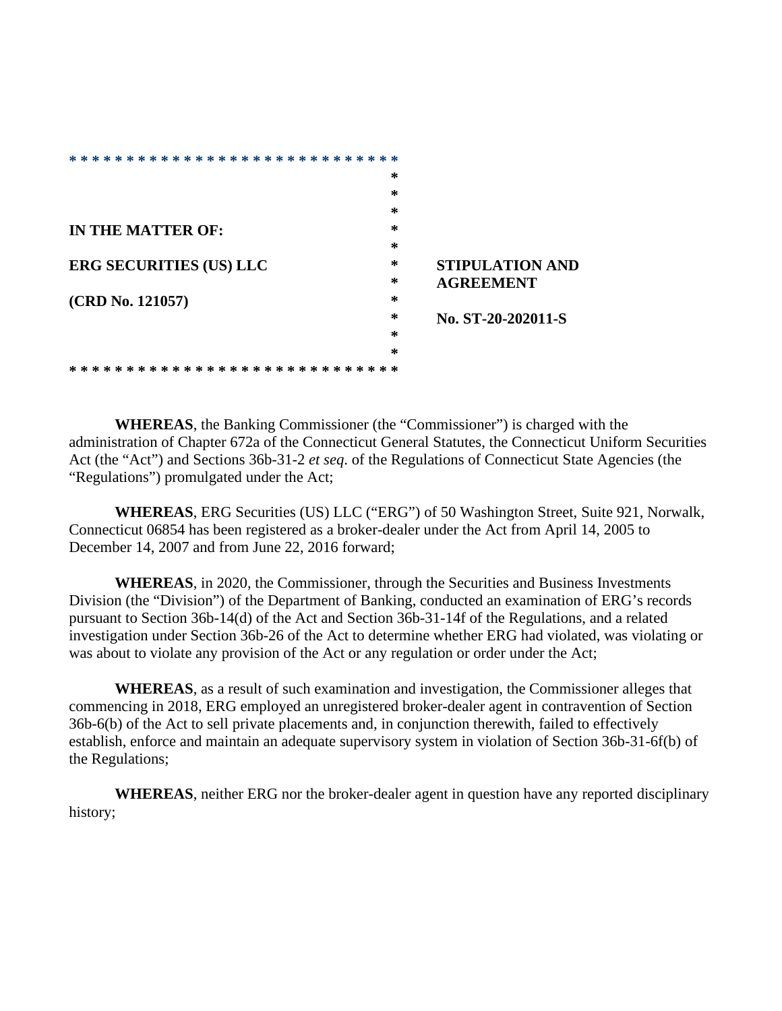| * * *<br>⋇<br>∗<br>*<br>∗<br>∗<br>*<br>⋇<br>*<br>∗<br>⋇<br>ж.<br>⋇<br>* |   |                        |
|-------------------------------------------------------------------------|---|------------------------|
|                                                                         | ∗ |                        |
|                                                                         | ∗ |                        |
|                                                                         | ∗ |                        |
| IN THE MATTER OF:                                                       | ∗ |                        |
|                                                                         | ∗ |                        |
| <b>ERG SECURITIES (US) LLC</b>                                          | ∗ | <b>STIPULATION AND</b> |
|                                                                         | ∗ | <b>AGREEMENT</b>       |
| (CRD No. 121057)                                                        | ∗ |                        |
|                                                                         | ∗ | No. ST-20-202011-S     |
|                                                                         | ∗ |                        |
|                                                                         | ∗ |                        |
| ⋇<br>⋇<br>⋇<br>⋇<br>ж                                                   | ∗ |                        |

**WHEREAS**, the Banking Commissioner (the "Commissioner") is charged with the administration of Chapter 672a of the Connecticut General Statutes, the Connecticut Uniform Securities Act (the "Act") and Sections 36b-31-2 *et seq*. of the Regulations of Connecticut State Agencies (the "Regulations") promulgated under the Act;

**WHEREAS**, ERG Securities (US) LLC ("ERG") of 50 Washington Street, Suite 921, Norwalk, Connecticut 06854 has been registered as a broker-dealer under the Act from April 14, 2005 to December 14, 2007 and from June 22, 2016 forward;

**WHEREAS**, in 2020, the Commissioner, through the Securities and Business Investments Division (the "Division") of the Department of Banking, conducted an examination of ERG's records pursuant to Section 36b-14(d) of the Act and Section 36b-31-14f of the Regulations, and a related investigation under Section 36b-26 of the Act to determine whether ERG had violated, was violating or was about to violate any provision of the Act or any regulation or order under the Act;

**WHEREAS**, as a result of such examination and investigation, the Commissioner alleges that commencing in 2018, ERG employed an unregistered broker-dealer agent in contravention of Section 36b-6(b) of the Act to sell private placements and, in conjunction therewith, failed to effectively establish, enforce and maintain an adequate supervisory system in violation of Section 36b-31-6f(b) of the Regulations;

**WHEREAS**, neither ERG nor the broker-dealer agent in question have any reported disciplinary history;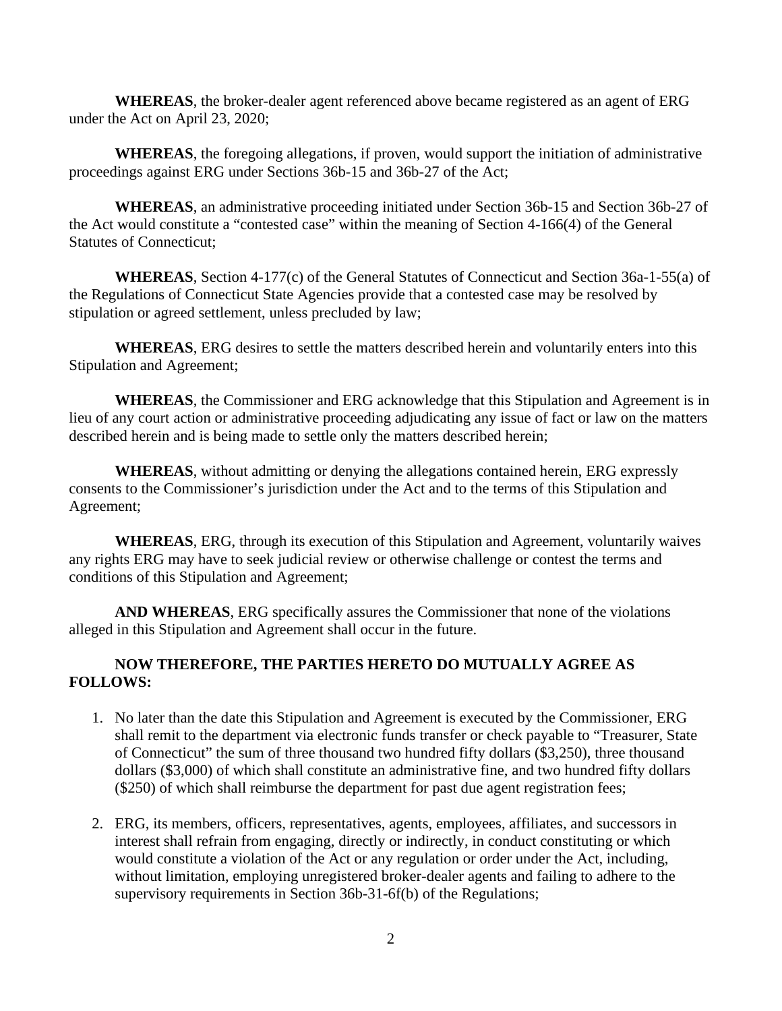**WHEREAS**, the broker-dealer agent referenced above became registered as an agent of ERG under the Act on April 23, 2020;

**WHEREAS**, the foregoing allegations, if proven, would support the initiation of administrative proceedings against ERG under Sections 36b-15 and 36b-27 of the Act;

**WHEREAS**, an administrative proceeding initiated under Section 36b-15 and Section 36b-27 of the Act would constitute a "contested case" within the meaning of Section 4-166(4) of the General Statutes of Connecticut;

**WHEREAS**, Section 4-177(c) of the General Statutes of Connecticut and Section 36a-1-55(a) of the Regulations of Connecticut State Agencies provide that a contested case may be resolved by stipulation or agreed settlement, unless precluded by law;

**WHEREAS**, ERG desires to settle the matters described herein and voluntarily enters into this Stipulation and Agreement;

**WHEREAS**, the Commissioner and ERG acknowledge that this Stipulation and Agreement is in lieu of any court action or administrative proceeding adjudicating any issue of fact or law on the matters described herein and is being made to settle only the matters described herein;

**WHEREAS**, without admitting or denying the allegations contained herein, ERG expressly consents to the Commissioner's jurisdiction under the Act and to the terms of this Stipulation and Agreement;

**WHEREAS**, ERG, through its execution of this Stipulation and Agreement, voluntarily waives any rights ERG may have to seek judicial review or otherwise challenge or contest the terms and conditions of this Stipulation and Agreement;

**AND WHEREAS**, ERG specifically assures the Commissioner that none of the violations alleged in this Stipulation and Agreement shall occur in the future.

## **NOW THEREFORE, THE PARTIES HERETO DO MUTUALLY AGREE AS FOLLOWS:**

- 1. No later than the date this Stipulation and Agreement is executed by the Commissioner, ERG shall remit to the department via electronic funds transfer or check payable to "Treasurer, State of Connecticut" the sum of three thousand two hundred fifty dollars (\$3,250), three thousand dollars (\$3,000) of which shall constitute an administrative fine, and two hundred fifty dollars (\$250) of which shall reimburse the department for past due agent registration fees;
- 2. ERG, its members, officers, representatives, agents, employees, affiliates, and successors in interest shall refrain from engaging, directly or indirectly, in conduct constituting or which would constitute a violation of the Act or any regulation or order under the Act, including, without limitation, employing unregistered broker-dealer agents and failing to adhere to the supervisory requirements in Section 36b-31-6f(b) of the Regulations;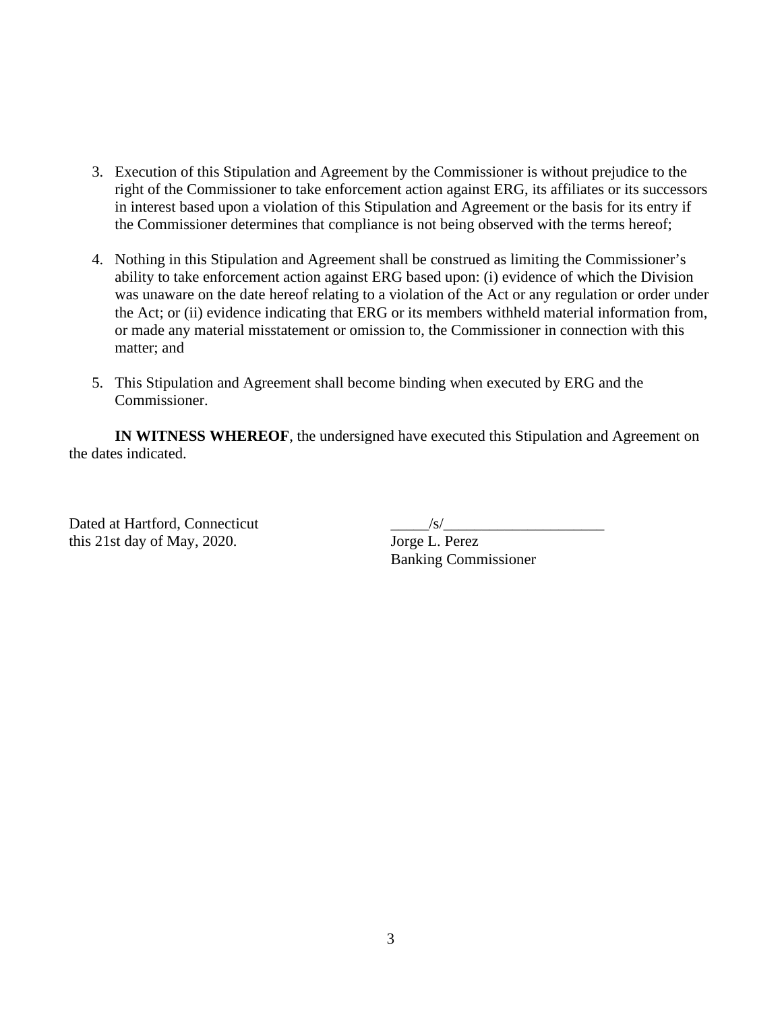- 3. Execution of this Stipulation and Agreement by the Commissioner is without prejudice to the right of the Commissioner to take enforcement action against ERG, its affiliates or its successors in interest based upon a violation of this Stipulation and Agreement or the basis for its entry if the Commissioner determines that compliance is not being observed with the terms hereof;
- 4. Nothing in this Stipulation and Agreement shall be construed as limiting the Commissioner's ability to take enforcement action against ERG based upon: (i) evidence of which the Division was unaware on the date hereof relating to a violation of the Act or any regulation or order under the Act; or (ii) evidence indicating that ERG or its members withheld material information from, or made any material misstatement or omission to, the Commissioner in connection with this matter; and
- 5. This Stipulation and Agreement shall become binding when executed by ERG and the Commissioner.

**IN WITNESS WHEREOF**, the undersigned have executed this Stipulation and Agreement on the dates indicated.

Dated at Hartford, Connecticut this 21st day of May, 2020. Jorge L. Perez

Banking Commissioner